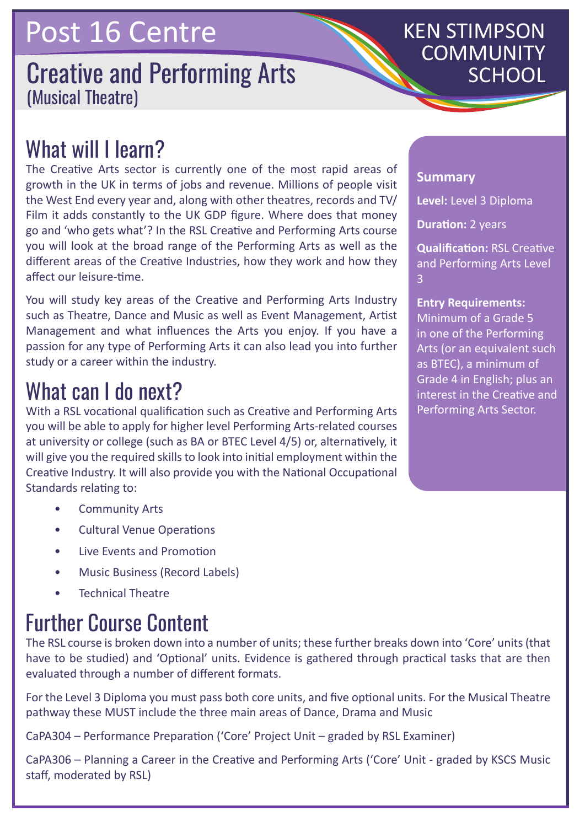## Post 16 Centre

#### **Creative and Performing Arts** (Musical Theatre)

# KEN STIMPSON COMMUNITY

### What will I learn?

The Creative Arts sector is currently one of the most rapid areas of growth in the UK in terms of jobs and revenue. Millions of people visit the West End every year and, along with other theatres, records and TV/ Film it adds constantly to the UK GDP figure. Where does that money go and 'who gets what'? In the RSL Creative and Performing Arts course you will look at the broad range of the Performing Arts as well as the different areas of the Creative Industries, how they work and how they affect our leisure-time.

You will study key areas of the Creative and Performing Arts Industry such as Theatre, Dance and Music as well as Event Management, Artist Management and what influences the Arts you enjoy. If you have a passion for any type of Performing Arts it can also lead you into further study or a career within the industry.

### What can I do next?

With a RSL vocational qualification such as Creative and Performing Arts you will be able to apply for higher level Performing Arts-related courses at university or college (such as BA or BTEC Level 4/5) or, alternatively, it will give you the required skills to look into initial employment within the Creative Industry. It will also provide you with the National Occupational Standards relating to:

- Community Arts
- Cultural Venue Operations
- Live Events and Promotion
- Music Business (Record Labels)
- Technical Theatre

### Further Course Content

The RSL course is broken down into a number of units; these further breaks down into 'Core' units (that have to be studied) and 'Optional' units. Evidence is gathered through practical tasks that are then evaluated through a number of different formats.

For the Level 3 Diploma you must pass both core units, and five optional units. For the Musical Theatre pathway these MUST include the three main areas of Dance, Drama and Music

CaPA304 – Performance Preparation ('Core' Project Unit – graded by RSL Examiner)

CaPA306 – Planning a Career in the Creative and Performing Arts ('Core' Unit - graded by KSCS Music staff, moderated by RSL)

#### **Summary**

**Level:** Level 3 Diploma

**Duration:** 2 years

**Qualification:** RSL Creative and Performing Arts Level 3

#### **Entry Requirements:**

Minimum of a Grade 5 in one of the Performing Arts (or an equivalent such as BTEC), a minimum of Grade 4 in English; plus an interest in the Creative and Performing Arts Sector.